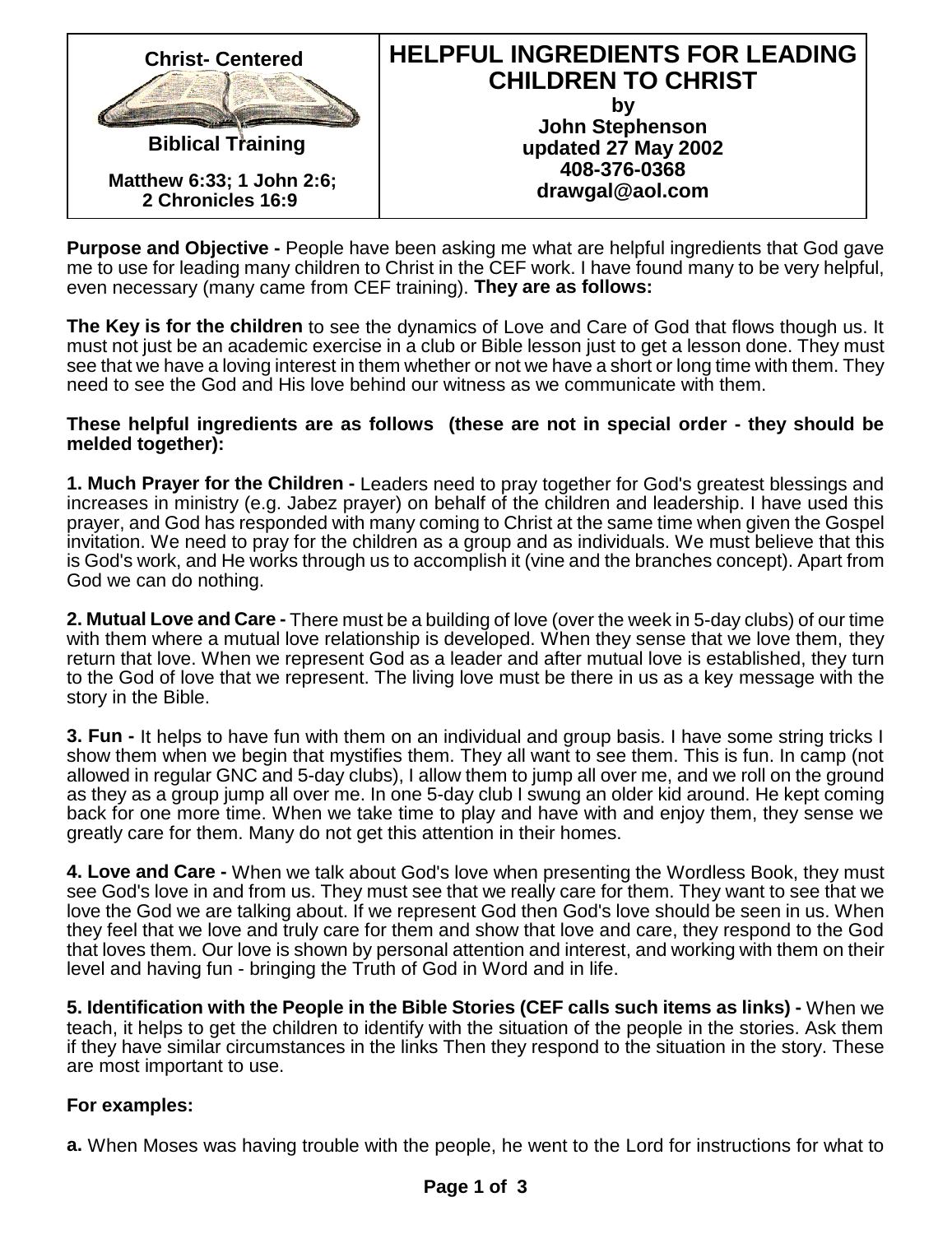| <b>Christ - Centered</b>                       | <b>HELPFUL INGREDIENTS FOR LEADING</b><br><b>CHILDREN TO CHRIST</b> |
|------------------------------------------------|---------------------------------------------------------------------|
|                                                |                                                                     |
| <b>Biblical Training</b>                       | John Stephenson<br>updated 27 May 2002                              |
| Matthew 6:33; 1 John 2:6;<br>2 Chronicles 16:9 | 408-376-0368<br>drawgal@aol.com                                     |

Purpose and Objective - People have been asking me what are helpful ingredients that God gave me to use for leading many children to Christ in the CEF work. I have found many to be very helpful, even necessary (many came from CEF training). They are as follows:

The Key is for the children to see the dynamics of Love and Care of God that flows though us. It must not just be an academic exercise in a club or Bible lesson just to get a lesson done. They must see that we have a loving interest in them whether or not we have a short or long time with them. They need to see the God and His love behind our witness as we communicate with them.

These helpful ingredients are as follows (these are not in special order - they should be melded together):

1. Much Prayer for the Children - Leaders need to pray together for God's greatest blessings and increases in ministry (e.g. Jabez prayer) on behalf of the children and leadership. I have used this prayer, and God has responded with many coming to Christ at the same time when given the Gospel invitation. We need to pray for the children as a group and as individuals. We must believe that this is God's work, and He works through us to accomplish it (vine and the branches concept). Apart from God we can do nothing.

2. Mutual Love and Care - There must be a building of love (over the week in 5-day clubs) of our time with them where a mutual love relationship is developed. When they sense that we love them, they return that love. When we represent God as a leader and after mutual love is established, they turn to the God of love that we represent. The living love must be there in us as a key message with the story in the Bible.

3. Fun - It helps to have fun with them on an individual and group basis. I have some string tricks I show them when we begin that mystifies them. They all want to see them. This is fun. In camp (not allowed in regular GNC and 5-day clubs), I allow them to jump all over me, and we roll on the ground as they as a group jump all over me. In one 5-day club I swung an older kid around. He kept coming back for one more time. When we take time to play and have with and enjoy them, they sense we greatly care for them. Many do not get this attention in their homes.

4. Love and Care - When we talk about God's love when presenting the Wordless Book, they must see God's love in and from us. They must see that we really care for them. They want to see that we love the God we are talking about. If we represent God then God's love should be seen in us. When they feel that we love and truly care for them and show that love and care, they respond to the God that loves them. Our love is shown by personal attention and interest, and working with them on their level and having fun - bringing the Truth of God in Word and in life.

5. Identification with the People in the Bible Stories (CEF calls such items as links) - When we teach, it helps to get the children to identify with the situation of the people in the stories. Ask them if they have similar circumstances in the links Then they respond to the situation in the story. These are most important to use.

For examples:

a. When Moses was having trouble with the people, he went to the Lord for instructions for what to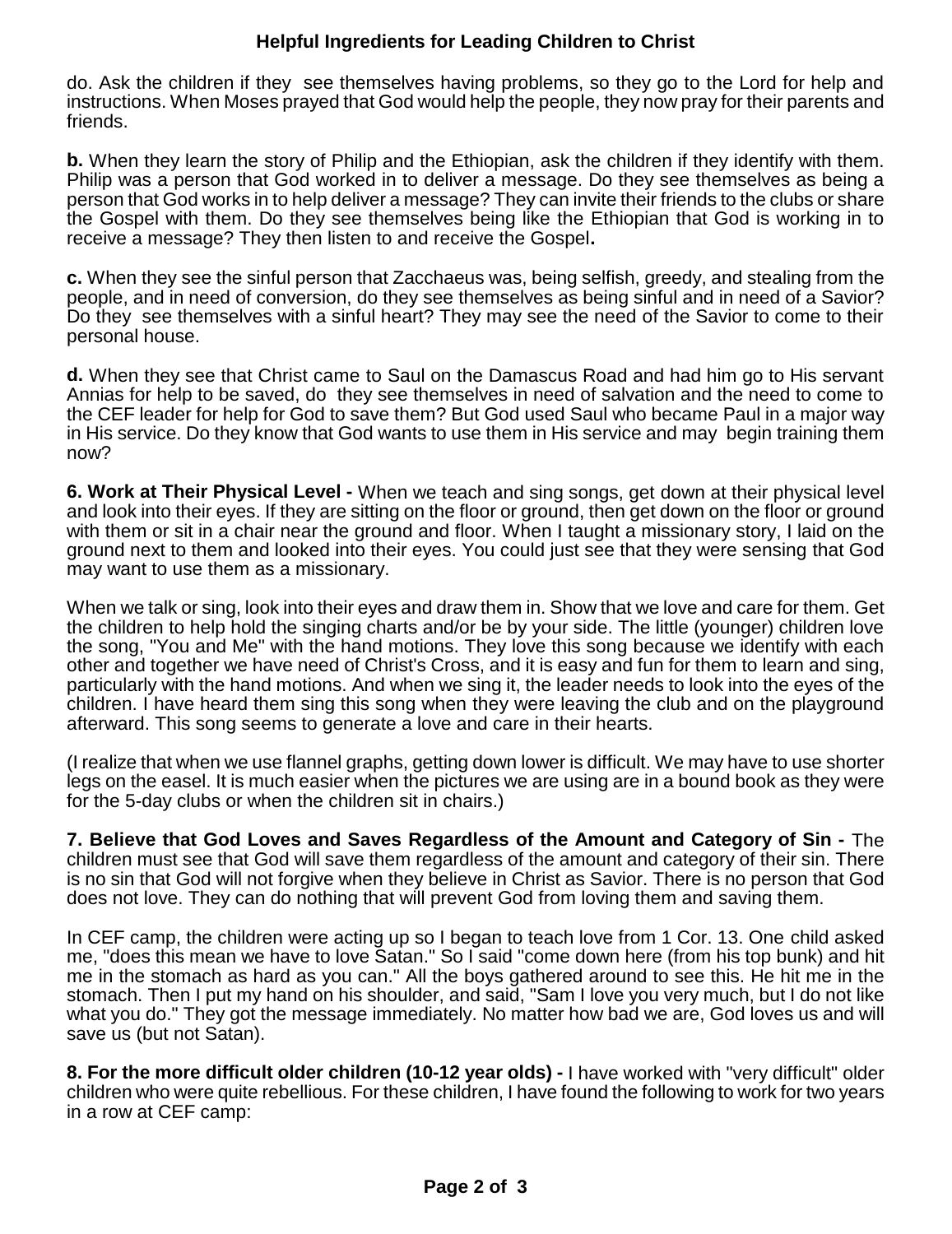## **Helpful Ingredients for Leading Children to Christ**

do. Ask the children if they see themselves having problems, so they go to the Lord for help and instructions. When Moses prayed that God would help the people, they now pray for their parents and friends.

**b.** When they learn the story of Philip and the Ethiopian, ask the children if they identify with them. Philip was a person that God worked in to deliver a message. Do they see themselves as being a person that God works in to help deliver a message? They can invite their friends to the clubs or share the Gospel with them. Do they see themselves being like the Ethiopian that God is working in to receive a message? They then listen to and receive the Gospel**.**

**c.** When they see the sinful person that Zacchaeus was, being selfish, greedy, and stealing from the people, and in need of conversion, do they see themselves as being sinful and in need of a Savior? Do they see themselves with a sinful heart? They may see the need of the Savior to come to their personal house.

**d.** When they see that Christ came to Saul on the Damascus Road and had him go to His servant Annias for help to be saved, do they see themselves in need of salvation and the need to come to the CEF leader for help for God to save them? But God used Saul who became Paul in a major way in His service. Do they know that God wants to use them in His service and may begin training them now?

**6. Work at Their Physical Level -** When we teach and sing songs, get down at their physical level and look into their eyes. If they are sitting on the floor or ground, then get down on the floor or ground with them or sit in a chair near the ground and floor. When I taught a missionary story, I laid on the ground next to them and looked into their eyes. You could just see that they were sensing that God may want to use them as a missionary.

When we talk or sing, look into their eyes and draw them in. Show that we love and care for them. Get the children to help hold the singing charts and/or be by your side. The little (younger) children love the song, "You and Me" with the hand motions. They love this song because we identify with each other and together we have need of Christ's Cross, and it is easy and fun for them to learn and sing, particularly with the hand motions. And when we sing it, the leader needs to look into the eyes of the children. I have heard them sing this song when they were leaving the club and on the playground afterward. This song seems to generate a love and care in their hearts.

(I realize that when we use flannel graphs, getting down lower is difficult. We may have to use shorter legs on the easel. It is much easier when the pictures we are using are in a bound book as they were for the 5-day clubs or when the children sit in chairs.)

**7. Believe that God Loves and Saves Regardless of the Amount and Category of Sin -** The children must see that God will save them regardless of the amount and category of their sin. There is no sin that God will not forgive when they believe in Christ as Savior. There is no person that God does not love. They can do nothing that will prevent God from loving them and saving them.

In CEF camp, the children were acting up so I began to teach love from 1 Cor. 13. One child asked me, "does this mean we have to love Satan." So I said "come down here (from his top bunk) and hit me in the stomach as hard as you can." All the boys gathered around to see this. He hit me in the stomach. Then I put my hand on his shoulder, and said, "Sam I love you very much, but I do not like what you do." They got the message immediately. No matter how bad we are, God loves us and will save us (but not Satan).

**8. For the more difficult older children (10-12 year olds) -** I have worked with "very difficult" older children who were quite rebellious. For these children, I have found the following to work for two years in a row at CEF camp: